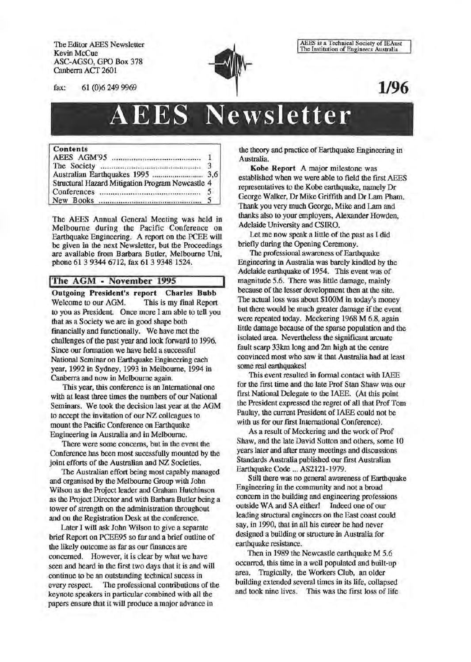The Editor AEES Newsletter Kevin McCue ASC-AGSO, GPO Box 378 Canberra ACT 2601

AEES is a Technical Society of IEAust<br>The Institution of Engineers Australia

fax: 61 (0)6 249 9969

**1/96** 

# AEES **Newsletter**

#### Contents

| Structural Hazard Mitigation Program Newcastle 4 |               |
|--------------------------------------------------|---------------|
|                                                  | $\mathcal{L}$ |
|                                                  |               |

The AEES Annual General Meeting was held in Melbourne during the Pacific Conference on Earthquake Engineering. A report on the PCEE will be given in the next Newsletter, but the Proceedings are available from Barbara Butler, Melbourne Uni, phone 61 3 9344 6712, fax 61 3 9348 1524.

# !The AGM - November 1995

Outgoing President's report Charles Bubb Welcome to our AGM. This is my final Report to you as President. Once more I am able to tell you that as a Society we are in good shape both fmancially and functionally. We have met the challenges of the past year and look forward to 1996. Since our formation we have held a successful National Seminar on Earthquake Engineering each year, 1992 in Sydney, 1993 in Melbourne, 1994 in Canberra and now in Melbourne again.

This year, this conference is an International one with at least three times the numbers of our National Seminars. We took the decision last year at the AGM to accept the invitation of our NZ colleagues to mount the Pacific Conference on Earthquake Engineering in Australia and in Melbourne.

There were some concerns, but in the event the Conference has been most sucessfully mounted by the joint efforts of the Australian and NZ Societies.

The Australian effort being most capably managed and organised by the Melbourne Group with John Wilson as the Project leader and Graham Hutchinson as the Project Director and with Barbara Butler being a tower of strength on the administration throughout and on the Registration Desk at the conference.

Later I will ask John Wilson to give a separate brief Report on PCEE95 so far and a brief outline of the likely outcome as far as our finances are concerned. However, it is clear by what we have seen and heard in the first two days that it is and will continue to be an outstanding technical sucess in every respect. The professional contributions of the keynote speakers in particular combined with all the papers ensure that it will produce a major advance in

the theory and practice of Earthquake Engineering in Australia.

Kobe Report A major milestone was established when we were able to field the first AEES representatives to the Kobe earthquake, namely Dr George Walker, Dr Mike Griffith and Dr Lam Pham. Thank you very much George, Mike and Lam and thanks also to your employers, Alexander Howden, Adelaide University and CSIRO.

Let me now speak a little of the past as I did briefly during the Opening Ceremony.

The professional awareness of Earthquake Engineering in Australia was barely kindled by the Adelaide earthquake of 1954. This event was of magnitude 5.6. There was little damage, mainly because of the lesser development then at the site. The actual loss was about \$100M in today's money but there would be much greater damage if the event were repeated today. Meckering 1968 M 6.8, again little damage because of the sparse population and the isolated area. Nevertheless the significant arcuate fault scarp 33km long and 2m high at the centre convinced most who saw it that Australia had at least some real earthquakes!

This event resulted in formal contact with IAEE for the first time and the late Prof Stan Shaw was our first National Delegate to the IAEE. (At this point the President expressed the regret of all that Prof Tom Paulay, the current President of IAEE could not be with us for our first International Conference).

As a result of Meckering and the work of Prof Shaw, and the late David Sutton and others, some 10 years later and after many meetings and discussions Standards Australia published our first Australian Earthquake Code ... AS2121-1979.

Still there was no general awareness of Earthquake Engineering in the community and not a broad concern in the building and engineering professions outside WA and SA either! Indeed one of our leading structural engineers on the East coast could say, in 1990, that in all his career he had never designed a building or structure in Australia for earthquake resistance.

Then in 1989 the Newcastle earthquake M 5.6 occurred, this time in a well populated and built-up area. Tragically, the Workers Club, an older building extended several times in its life, collapsed and took nine lives. This was the first loss of life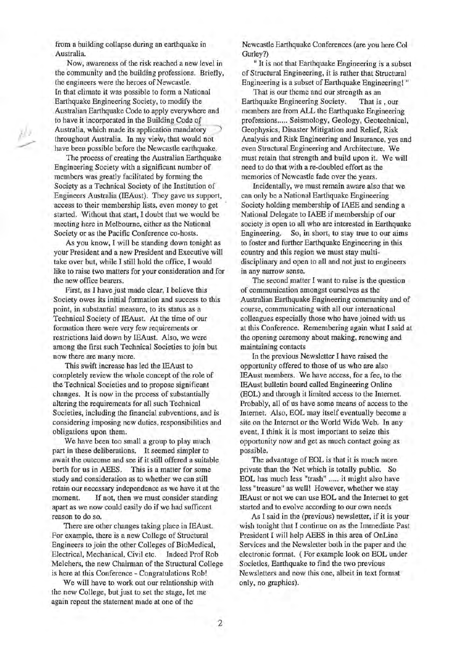from a building collapse during an earthquake in Australia.

Now, awareness of the risk reached a new level in the community and the building professions. Briefly, the engineers were the heroes of Newcastle. In that climate it was possible to form a National Earthquake Engineering Society, to modify the Australian Earthquake Code to apply everywhere and to have it incorporated in the Building Code of Australia, which made its application mandatory 1 throughout Australia. In my view, that would not have been possible before the Newcastle earthquake.

/J. \_.,..,.

> The process of creating the Australian Earthquake Engineering Society with a significant number of members was greatly facilitated by forming the Society as a Technical Society of the Institution of Engineers Australia (IEAust). They gave us support, access to their membership lists, even money to get started. Without that start, I doubt that we would be meeting here in Melbourne, either as the National Society or as the Pacific Conference co-hosts.

As you know, I will be standing down tonight as your President and a new President and Executive will take over but, while I still hold the office, I would like to raise two matters for your consideration and for the new office bearers.

First, as I have just made clear, I believe this Society owes its initial formation and success to this point, in substantial measure, to its status as a Technical Society of IEAust. At the time of our formation there were very few requirements or restrictions laid down by IEAust. Also, we were among the first such Technical Societies to join but now there are many more.

This swift increase has led the IEAust to completely review the whole concept of the role of the Technical Societies and to propose significant changes. It is now in the process of substantially altering the requirements for all such Technical Societies, including the financial subventions, and is considering imposing new duties, responsibilities and obligations upon them.

We have been too small a group to play much part in these deliberations. It seemed simpler to await the outcome and see if it still offered a suitable berth for us in AEES. This is a matter for some study and consideration as to whether we can still retain our necessary independence as we have it at the moment. If not, then we must consider standing apart as we now could easily do if we had sufficent reason to do so.

There are other changes taking place in IEAust. For example, there is a new College of Structural Engineers to join the other Colleges of BioMedical, Electrical, Mechanical, Civil etc. Indeed Prof Rob Melchers, the new Chairman of the Structural College is here at this Conference- Congratulations Rob!

We will have to work out our relationship with the new College, but just to set the stage, let me again repeat the statement made at one of the

Newcastle Earthquake Conferences (are you here Col Gurley?)

" It is not that Earthquake Engineering is a subset of Structural Engineering, it is rather that Structural Engineering is a subset of Earthquake Engineering! "

That is our theme and our strength as an Earthquake Engineering Society. That is , our members are from ALL the Earthquake Engineering professions..... Seismology, Geology, Geotechnical, Geophysics, Disaster Mitigation and Relief, Risk Analysis and Risk Engineering and Insurance, yes and even Structural Engineering and Architecture. We must retain that strength and build upon it. We will need to do that with a re-doubled effort as the memories of Newcastle fade over the years.

Incidentally, we must remain aware also that we can only be a National Earthquake Engineering Society holding membership of IAEE and sending a National Delegate to IAEE if membership of our society is open to all who are interested in Earthquake Engineering. So, in short, to stay true to our aims to foster and further Earthquake Engineering in this country and this region we must stay multidisciplinary and open to all and not just to engineers in any narrow sense.

The second matter I want to raise is the question of communication amongst ourselves as the Australian Earthquake Engineering community and of course, communicating with all our international colleagues especially those who have joined with us at this Conference. Remembering again what I said at the opening ceremony about making, renewing and maintaining contacts

In the previous Newsletter I have raised the opportunity offered to those of us who are also IEAust members. We have access, for a fee, to the IEAust bulletin board called Engineering Online (EOL) and through it limited access to the Internet. Probably, all of us have some means of access to the Internet. Also, EOL may itself eventually become a site on the Internet or the World Wide Web. In any event, I think it is most important to seize this opportunity now and get as much contact going as possible.

The advantage of EOL is that it is much more private than the 'Net which is totally public. So EOL has much less "trash" ..... it might also have less "treasure" as well! However, whether we stay IEAust or not we can use EOL and the Internet to get started and to evolve according to our own needs

As I said in the (previous) newsletter, if it is your wish tonight that I continue on as the Immediate Past President I will help AEES in this area of OnLine Services and the Newsletter both in the paper and the electronic format. ( For example look on EOL under Societies, Earthquake to find the two previous Newsletters and now this one, albeit in text format only, no graphics).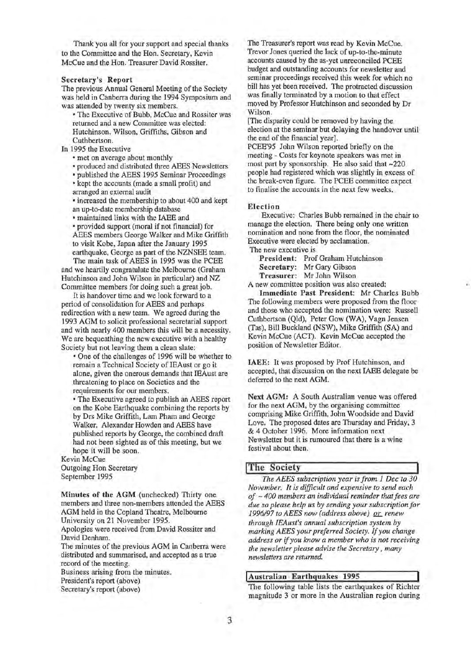Thank you all for your support and special thanks to the Committee and the Hon. Secretary, Kevin McCue and the Hon. Treasurer David Rossiter.

#### Secretary's Report

The previous Annual General Meeting of the Society was held in Canberra during the 1994 Symposium and was attended by twenty six members.

• The Executive of Bubb, McCue and Rossiter was returned and a new Committee was elected: Hutchinson, Wilson, Griffiths, Gibson and Cuthbertson.

In 1995 the Executive

• met on average about monthly

• produced and distributed three AEES Newsletters

• published the AEES 1995 Seminar Proceedings

• kept the accounts (made a small profit) and arranged an external audit

• increased the membership to about 400 and kept an up-to-date membership database

• maintained links with the IAEE and

• provided support (moral if not financial) for AEES members George Walker and Mike Griffith to visit Kobe, Japan after the January 1995 earthquake, George as part of the NZNSEE team.

The main task of AEES in 1995 was the PCEE and we heartily congratulate the Melbourne (Graham Hutchinson and John Wilson in particular) and NZ Committee members for doing such a great job.

It is handover time and we look forward to a period of consolidation for AEES and perhaps redirection with a new team. We agreed during the 1993 AGM to solicit professional secretarial support and with nearly 400 members this will be a necessity. We are bequeathing the new executive with a healthy Society but not leaving them a clean slate:

• One of the challenges of 1996 will be whether to remain a Technical Society of IEAust or go it alone, given the onerous demands that IEAust are threatening to place on Societies and the requirements for our members.

• The Executive agreed to publish an AEES report on the Kobe Earthquake combining the reports by by Drs Mike Griffith, Lam Pham and George Walker. Alexander Howden and AEES have published reports by George, the combined draft had not been sighted as of this meeting, but we hope it will be soon.

Kevin McCue Outgoing Hon Secretary September 1995

Minutes of the AGM (unchecked) Thirty one members and three non-members attended the AEES AGM held in the Copland Theatre, Melbourne University on 21 November 1995.

Apologies were received from David Rossiter and David Denham.

The minutes of the previous AGM in Canberra were distributed and summarised, and accepted as a true record of the meeting.

Business arising from the minutes.

President's report (above)

Secretary's report (above)

The Treasurer's report was read by Kevin McCue. Trevor Jones queried the lack of up-to-the-minute accounts caused by the as-yet unreconciled PCEE budget and outstanding accounts for newsletter and seminar proceedings received this week for which no bill has yet been received. The protracted discussion was finally terminated by a motion to that effect moved by Professor Hutchinson and seconded by Dr Wilson.

[The disparity could be removed by having the election at the seminar but delaying the handover until the end of the financial year].

PCEE'95 John Wilson reported briefly on the meeting - Costs for keynote speakers was met in most part by sponsorship. He also said that -220 people had registered which was slightly in excess of the break-even figure. The PCEE committee expect to finalise the accounts in the next few weeks.

#### Election

Executive: Charles Bubb remained in the chair to manage the election. There being only one written nomination and none from the floor, the nominated Executive were elected by acclamation.

The new executive is

- President: Prof Graham Hutchinson
- Secretary: Mr Gary Gibson
- Treasurer: Mr John Wilson

A new committee position was also created:

Immediate Past President: Mr Charles Bubb The following members were proposed from the floor and those who accepted the nomination were: Russell Cuthbertson (Qld), Peter Gow (WA), Vagn Jensen (Tas), Bill Buckland (NSW), Mike Griffith (SA) and Kevin McCue (ACT). Kevin McCue accepted the position of Newsletter Editor.

IAEE: It was proposed by Prof Hutchinson, and accepted, that discussion on the next IAEE delegate be deferred to the next AGM.

Next AGM: A South Australian venue was offered for the next AGM, by the organising committee comprising Mike Griffith, John Woodside and David Love. The proposed dates are Thursday and Friday, 3 & 4 October 1996. More information next Newsletter but it is rumoured that there is a wine festival about then.

# The Society

*The AEES subscription year is from 1 Dec to 30 November. It is difficult and expensive to send each of -400 members an individual reminder that fees are due so please help us by sending your subscription for*  1996/97 to AEES now (address above) <u>or</u> renew *through IEAust's annual subscription system by marking AEES your preferred Society. If you change address or* if *you know a member who is not receiving the newsletter please advise the Secretary* , *many newsletters are returned.* 

#### I Australian Earthquakes 1995

The following table lists the earthquakes of Richter magnitude 3 or more in the Australian region during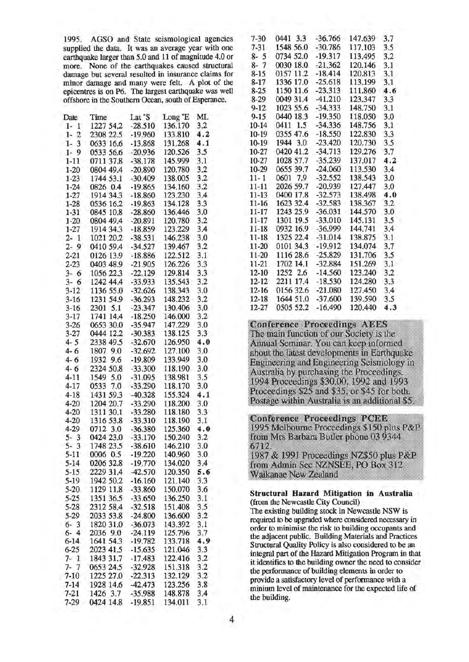| Date                   | Time      | Lat 'S    | Long <sup>°</sup> E | ML  | $9 - 15$      | 0440 18.3                                         | $-19.350$ | 118.050 | 3.0 |
|------------------------|-----------|-----------|---------------------|-----|---------------|---------------------------------------------------|-----------|---------|-----|
| $1 - 1$                | 1227 54.2 | $-28.510$ | 136.170             | 3.2 | 10-14         | 0411 1.5                                          | $-34.336$ | 148.756 | 3.1 |
| $\overline{2}$<br>1-   | 2308 22.5 | $-19.960$ | 133.810             | 4.2 | $10-19$       | 0355 47.6                                         | $-18.550$ | 122,830 | 3.3 |
| $\overline{3}$<br>$1-$ | 0633 16.6 | $-13.868$ | 131.268             | 4.1 | $10-19$       | 1944 3.0                                          | $-23.420$ | 120.730 | 3.5 |
| 9<br>$1-$              | 0533 56.6 | $-20.936$ | 120,526             | 3.5 | $10-27$       | 0420 41.2                                         | $-34.713$ | 129.276 | 3.7 |
| $1-11$                 | 0711 37.8 | $-38.178$ | 145.999             | 3.1 | 10-27         | 1028 57.7                                         | $-35.239$ | 137.017 | 4.2 |
| $1 - 20$               | 0804 49.4 | $-20.890$ | 120.780             | 3.2 | 10-29         | 0655 39.7                                         | $-24.060$ | 113.530 | 3.4 |
| $1 - 23$               | 1744 53.1 | $-30.409$ | 138.005             | 3.2 | $11 - 1$      | 0601 7.9                                          | $-32.552$ | 138.543 | 3.0 |
| $1 - 24$               | 0826 0.4  | $-19.865$ | 134.160             | 3.2 | $11 - 11$     | 2026 59.7                                         | $-20.939$ | 127.447 | 3.0 |
| $1-27$                 | 1914 34.3 | $-18.860$ | 123,230             | 3.4 | $11 - 13$     | 0400 17.8                                         | $-32.573$ | 138.498 | 4.0 |
| $1 - 28$               | 0536 16.2 | $-19.863$ | 134.128             | 3.3 | $11 - 16$     | 1623 32.4                                         | $-32.583$ | 138.367 | 3.2 |
| $1 - 31$               | 0845 10.8 | $-28.860$ | 136,446             | 3.0 | $11 - 17$     | 1243 25.9                                         | $-36.031$ | 144.570 | 3.0 |
| $1 - 20$               | 0804 49.4 | $-20.891$ | 120.780             | 3.2 | $11 - 17$     | 1301 19.5                                         | $-33.010$ | 145.131 | 3.5 |
| $1 - 27$               | 1914 34.3 | $-18.859$ | 123.229             | 3.4 | $11 - 18$     | 0932 16.9                                         | $-36.999$ | 144.741 | 3.4 |
| $2 - 1$                | 1021 20.2 | $-38.531$ | 146.238             | 3.0 | 11-18         | 1325 22.4                                         | $-31.014$ | 138.875 | 3.1 |
| $2 - 9$                | 0410 59.4 | $-34.527$ | 139.467             | 3.2 | 11-20         | 0101 34.3                                         | $-19.912$ | 134.074 | 3.7 |
| $2 - 21$               | 0126 13.9 | $-18.886$ | 122.512             | 3.1 | 11-20         | 1116 28.6                                         | $-25.829$ | 131.706 | 3.5 |
| $2 - 23$               | 0403 48.9 | $-21.905$ | 126.226             | 3.3 | $11-21$       | 1702 14.1                                         | $-32.884$ | 151.269 | 3.1 |
| $3 - 6$                | 1056 22.3 | $-22,129$ | 129,814             | 3.3 | $12 - 10$     | 1252 2.6                                          | $-14.560$ | 123.240 | 3.2 |
|                        | 1242 44.4 | $-33.933$ | 135.543             | 3.2 | $12 - 12$     | 2211 17.4                                         | $-18.530$ | 124.280 | 3.3 |
| $3 - 6$                |           |           |                     |     | $12-16$       | 0156 32.6                                         | $-21.080$ | 127.450 | 3.4 |
| $3-12$                 | 1136 55.0 | $-32,626$ | 138.343             | 3.0 |               |                                                   |           |         |     |
| $3-16$                 | 1231 54.9 | $-36.293$ | 148.232             | 3.2 | $12 - 18$     | 1644 51.0                                         | $-37,600$ | 139.590 | 3.5 |
| $3-16$                 | 2301 5.1  | $-23.347$ | 130.406             | 3.0 | 12-27         | 0505 52.2                                         | $-16.490$ | 120.440 | 4.3 |
| $3-17$                 | 1741 14.4 | $-18.250$ | 146.000             | 3.2 |               |                                                   |           |         |     |
| $3 - 26$               | 0653 30.0 | $-35.947$ | 147.229             | 3.0 |               | <b>Conference Proceedings AEES</b>                |           |         |     |
| $3 - 27$               | 0444 12.2 | $-30.383$ | 138.125             | 3.3 |               | The main function of our Society is the           |           |         |     |
| $4 - 5$                | 2338 49.5 | $-32.670$ | 126.950             | 4.0 |               | Annual Seminar. You can keep informe              |           |         |     |
| $4 - 6$                | 1807 9.0  | $-32.692$ | 127.100             | 3.0 |               | about the latest developments in Earthq           |           |         |     |
| $4 - 6$                | 1932 9.6  | $-19.809$ | 133.949             | 3.0 |               | Engineering and Engineering Seismolo              |           |         |     |
| $4 - 6$                | 2324 50.8 | $-33.300$ | 118.190             | 3.0 |               | Australia by purchasing the Proceeding            |           |         |     |
| $4 - 11$               | 1549 5.0  | $-31.095$ | 138.981             | 3.5 |               | 1994 Proceedings \$30.00, 1992 and 19             |           |         |     |
| $4 - 17$               | 0533 7.0  | $-33.290$ | 118.170             | 3.0 |               | Proceedings \$25 and \$35, or \$45 for b          |           |         |     |
| $4 - 18$               | 1431 59.3 | $-40.328$ | 155.324             | 4.1 |               |                                                   |           |         |     |
| $4 - 20$               | 1204 20.7 | $-33.290$ | 118.200             | 3.0 |               | Postage within Australia is an addition.          |           |         |     |
| $4 - 20$               | 1311 30.1 | $-33.280$ | 118.180             | 3.3 |               |                                                   |           |         |     |
| $4 - 20$               | 1316 53.8 | $-33.310$ | 118.190             | 3.1 |               | <b>Conference Proceedings PCEE</b>                |           |         |     |
| $4 - 29$               | 0712 3.0  | $-36.380$ | 125,360             | 4.0 |               | 1995 Melbourne Proceedings \$150 plu              |           |         |     |
| $5 - 3$                | 0424 23.0 | $-33.170$ | 150.240             | 3.2 |               | from Mrs Barbara Butler phone 03 934              |           |         |     |
| $5 - 3$                | 1748 23.5 | $-38.610$ | 146.210             | 3.0 | 6712.         |                                                   |           |         |     |
| $5-11$                 | 0006 0.5  | $-19.220$ | 140.960             | 3.0 |               | 1987 & 1991 Proceedings NZ\$50 plus               |           |         |     |
| $5 - 14$               | 0206 32.8 | $-19.770$ | 134.020             | 3.4 |               | from Admin Sec NZNSEE, PO Box 31                  |           |         |     |
| $5 - 15$               | 2229 31.4 | $-42,570$ | 120.350             | 5.6 |               | Waikanae New Zealand                              |           |         |     |
| $5-19$                 | 1942 50.2 | $-16.160$ | 121.140             | 3.3 |               |                                                   |           |         |     |
| $5-20$                 | 1129 11.8 | $-33,860$ | 150.070             | 3.6 |               |                                                   |           |         |     |
| $5 - 25$               | 1351 36.5 | $-33.650$ | 136.250             | 3.1 |               | <b>Structural Hazard Mitigation in Aust</b>       |           |         |     |
| $5 - 28$               | 2312 58.4 | $-32.518$ | 151.408             | 3.5 |               | (from the Newcastle City Council)                 |           |         |     |
| $5 - 29$               | 2033 53.8 | $-24.800$ | 136.600             | 3.2 |               | The existing building stock in Newcastle NSV      |           |         |     |
| $6 - 3$                | 1820 31.0 | $-36.073$ | 143.392             | 3.1 |               | required to be upgraded where considered neces    |           |         |     |
| $6 - 4$                | 2036 9.0  | $-24.119$ | 125.796             | 3,7 |               | order to minimise the risk to building occupan    |           |         |     |
| $6 - 14$               | 1641 54.3 | $-19.782$ | 133.718             | 4.9 |               | the adjacent public. Building Materials and Pr    |           |         |     |
| $6 - 25$               | 2023 41.5 | $-15.635$ | 121.046             | 3.3 |               | Structural Quality Policy is also considered to   |           |         |     |
| $7 - 1$                | 1843 31.7 | $-17.483$ | 122.416             | 3.2 |               | integral part of the Hazard Mitigation Program    |           |         |     |
| $7 - 7$                | 0653 24.5 | $-32.928$ | 151.318             | 3.2 |               | it identifies to the building owner the need to a |           |         |     |
| $7 - 10$               | 1225 27.0 | $-22.313$ | 132.129             | 3.2 |               | the performance of building elements in order     |           |         |     |
| $7 - 14$               | 1928 14.6 | $-42.473$ | 123.256             | 3.8 |               | provide a satisfactory level of performance wit   |           |         |     |
| $7 - 21$               | 1426 3.7  | -35.988   | 148.878             | 3.4 |               | minium level of maintenance for the expected      |           |         |     |
| $7 - 29$               | 0424 14.8 | $-19.851$ | 134.011             | 3.1 | the building. |                                                   |           |         |     |
|                        |           |           |                     |     |               |                                                   |           |         |     |

| 1995.                                                                                                                                                                                                                                                                   |           |           |                     | AGSO and State seismological agencies | $7 - 30$             | 0441 3.3                                         | $-36.766$                                        | 147.639                                  | 3.7                      |
|-------------------------------------------------------------------------------------------------------------------------------------------------------------------------------------------------------------------------------------------------------------------------|-----------|-----------|---------------------|---------------------------------------|----------------------|--------------------------------------------------|--------------------------------------------------|------------------------------------------|--------------------------|
| supplied the data. It was an average year with one                                                                                                                                                                                                                      |           |           |                     |                                       | $7 - 31$             | 1548 56.0                                        | $-30.786$                                        | 117.103                                  | 3.5                      |
| earthquake larger than 5.0 and 11 of magnitude 4.0 or                                                                                                                                                                                                                   |           |           |                     |                                       | $8 - 5$              | 0734 52.0                                        | $-19.317$                                        | 113.495                                  | 3.2                      |
| more. None of the earthquakes caused structural<br>damage but several resulted in insurance claims for<br>minor damage and many were felt. A plot of the<br>epicentres is on P6. The largest earthquake was well<br>offshore in the Southern Ocean, south of Esperance. |           |           |                     |                                       | $8 - 7$              | 0030 18.0<br>0157 11.2<br>1336 17.0<br>1150 11.6 | $-21.362$<br>$-18.414$<br>$-25.618$<br>$-23.313$ | 120,146<br>120.813<br>113.199<br>111.860 | 3.1<br>3.1<br>3.1<br>4.6 |
|                                                                                                                                                                                                                                                                         |           |           |                     |                                       | $8 - 15$             |                                                  |                                                  |                                          |                          |
|                                                                                                                                                                                                                                                                         |           |           |                     |                                       | $8 - 17$<br>$8 - 25$ |                                                  |                                                  |                                          |                          |
|                                                                                                                                                                                                                                                                         |           |           |                     |                                       |                      |                                                  |                                                  |                                          |                          |
|                                                                                                                                                                                                                                                                         |           |           |                     |                                       |                      |                                                  |                                                  |                                          |                          |
| Date                                                                                                                                                                                                                                                                    | Time      | Lat 'S    | Long <sup>°</sup> E | ML                                    | $9 - 15$             | 0440 18.3                                        | $-19.350$                                        | 118.050                                  | 3.0                      |
| $1 - 1$                                                                                                                                                                                                                                                                 | 1227 54.2 | $-28.510$ | 136.170             | 3.2                                   | 10-14                | 0411 1.5                                         | $-34.336$                                        | 148.756                                  | 3.1                      |
| $\mathbf{2}$<br>1-                                                                                                                                                                                                                                                      | 2308 22.5 | $-19.960$ | 133.810             | 4.2                                   | 10-19                | 0355 47.6                                        | $-18.550$                                        | 122.830                                  | 3.3                      |
| 3<br>$1-$                                                                                                                                                                                                                                                               | 0633 16.6 | $-13.868$ | 131.268             | 4.1                                   | $10-19$              | 1944 3.0                                         | $-23.420$                                        | 120.730                                  | 3.5                      |
| 9<br>$1-$                                                                                                                                                                                                                                                               | 0533 56.6 | $-20.936$ | 120,526             | 3.5                                   | 10-27                | 0420 41.2                                        | $-34.713$                                        | 129.276                                  | 3.7                      |
| $1 - 11$                                                                                                                                                                                                                                                                | 0711 37.8 | $-38.178$ | 145.999             | 3.1                                   | 10-27                | 1028 57.7                                        | $-35.239$                                        | 137.017                                  | 4.2                      |
| $1 - 20$                                                                                                                                                                                                                                                                | 0804 49.4 | $-20.890$ | 120.780             | 3.2                                   | 10-29                | 0655 39.7                                        | $-24.060$                                        | 113.530                                  | 3.4                      |
| $1-23$                                                                                                                                                                                                                                                                  | 1744 53.1 | $-30.409$ | 138.005             | 3.2                                   | $11 - 1$             | 0601 7.9                                         | $-32.552$                                        | 138.543                                  | 3.0                      |
| $1 - 24$                                                                                                                                                                                                                                                                | 0826 0.4  | $-19.865$ | 134.160             | 3.2                                   | $11 - 11$            | 2026 59.7                                        | $-20.939$                                        | 127.447                                  | 3.0                      |
| $1 - 27$                                                                                                                                                                                                                                                                | 1914 34.3 | $-18.860$ | 123.230             | 3.4                                   | $11 - 13$            | 0400 17.8                                        | $-32.573$                                        | 138.498                                  | 4.0                      |
| $1 - 28$                                                                                                                                                                                                                                                                | 0536 16.2 | $-19.863$ | 134.128             | 3.3                                   | $11 - 16$            | 1623 32.4                                        | $-32.583$                                        | 138.367                                  | 3.2                      |
| $1 - 31$                                                                                                                                                                                                                                                                | 0845 10.8 | $-28.860$ | 136,446             | 3.0                                   | 11-17                | 1243 25.9                                        | $-36.031$                                        | 144.570                                  | 3.0                      |
| $1 - 20$                                                                                                                                                                                                                                                                | 0804 49.4 | $-20.891$ | 120.780             | 3.2                                   | $11 - 17$            | 1301 19.5                                        | $-33.010$                                        | 145.131                                  | 3.5                      |
| $1 - 27$                                                                                                                                                                                                                                                                | 1914 34.3 | $-18.859$ | 123.229             | 3.4                                   | $11 - 18$            | 0932 16.9                                        | $-36.999$                                        | 144.741                                  | 3.4                      |
| $\mathbf{1}$<br>$2 -$                                                                                                                                                                                                                                                   | 1021 20.2 | $-38.531$ | 146.238             | 3.0                                   | 11-18                | 1325 22.4                                        | $-31.014$                                        | 138.875                                  | 3.1                      |
| $2 - 9$                                                                                                                                                                                                                                                                 | 0410 59.4 | $-34.527$ | 139.467             | 3.2                                   | 11-20                | 0101 34.3                                        | $-19.912$                                        | 134.074                                  | 3.7                      |
| $2 - 21$                                                                                                                                                                                                                                                                | 0126 13.9 | $-18.886$ | 122.512             | 3.1                                   | 11-20                | 1116 28.6                                        | $-25.829$                                        | 131.706                                  | 3.5                      |
| $2 - 23$                                                                                                                                                                                                                                                                | 0403 48.9 | $-21.905$ | 126.226             | 3.3                                   | $11 - 21$            | 1702 14.1                                        | $-32.884$                                        | 151.269                                  | 3.1                      |
| $3 - 6$                                                                                                                                                                                                                                                                 | 1056 22.3 | $-22,129$ | 129,814             | 3.3                                   | 12-10                | 1252 2.6                                         | $-14.560$                                        | 123.240                                  | 3.2                      |
| $3 - 6$                                                                                                                                                                                                                                                                 | 1242 44.4 | $-33.933$ | 135.543             | 3.2                                   | 12-12                | 2211 17.4                                        | $-18.530$                                        | 124.280                                  | 3.3                      |
| $3-12$                                                                                                                                                                                                                                                                  | 1136 55.0 | $-32,626$ | 138.343             | 3.0                                   | $12 - 16$            | 0156 32.6                                        | $-21.080$                                        | 127.450                                  | 3.4                      |
| $3 - 16$                                                                                                                                                                                                                                                                | 1231 54.9 | $-36.293$ | 148.232             | 3.2                                   | $12 - 18$            | 1644 51.0                                        | $-37,600$                                        | 139.590                                  | 3.5                      |
| $3-16$                                                                                                                                                                                                                                                                  | 2301 5.1  | $-23.347$ | 130.406             | 3.0                                   | 12-27                | 0505 52.2                                        | $-16.490$                                        | 120.440                                  | 4.3                      |
|                                                                                                                                                                                                                                                                         |           |           |                     |                                       |                      |                                                  |                                                  |                                          |                          |

**Conference Proceedings AEES** The main function of our Society is the Annual Seminar. You can keep informed about the latest developments in Earthquake Engineering and Engineering Seismology in Australia by purchasing the Proceedings. 1994 Proceedings \$30,00, 1992 and 1993 Proceedings \$25 and \$35, or \$45 for both. Postage within Australia is an additional \$5.

**Conference Proceedings PCEE** 1995 Melbourne Proceedings \$150 plus P&P from Mrs Barbara Butler phone 03 9344 6712.

1987 & 1991 Proceedings NZ\$50 plus P&P from Admin Sec NZNSEE, PO Box 312 Waikanae New Zealand

#### Structural Hazard Mitigation in Australia (from the Newcastle City Council)

The existing building stock in Newcastle NSW is required to be upgraded where considered necessary in order to minimise the risk to building occupants and the adjacent public. Building Materials and Practices Structural Quality Policy is also considered to be an integral part of the Hazard Mitigation Program in that it identifies to the building owner the need to consider the performance of building elements in order to provide a satisfactory level of performance with a minium level of maintenance for the expected life of the building.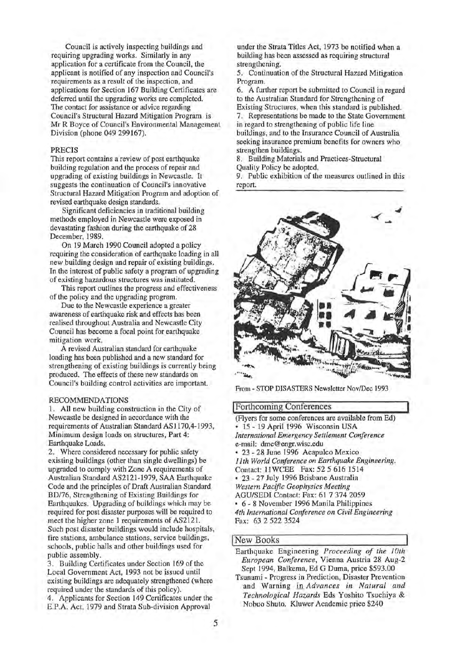Council is actively inspecting buildings and requiring upgrading works. Similarly in any application for a certificate from the Council, the applicant is notified of any inspection and Council's requirements as a result of the inspection, and applications for Section 167 Building Certificates are deferred until the upgrading works are completed. The contact for assistance or advice regarding Council's Structural Hazard Mitigation Program is Mr R Boyce of Council's Environmental Management Division (phone 049 299167).

# PRECIS

This report contains a review of post earthquake building regulation and the process of repair and upgrading of existing buildings in Newcastle. It suggests the continuation of Council's innovative Structural Hazard Mitigation Program and adoption of revised earthquake design standards.

Significant deficiencies in traditional building methods employed in Newcastle were exposed in devastating fashion during the earthquake of 28 December, 1989.

On 19 March 1990 Council adopted a policy requiring the consideration of earthquake loading in all new building design and repair of existing buildings. In the interest of public safety a program of upgrading of existing hazardous structures was instituted.

This report outlines the progress and effectiveness of the policy and the upgrading program.

Due to the Newcastle experience a greater awareness of earthquake risk and effects has been realised throughout Australia and Newcastle City Council has become a focal point for earthquake mitigation work.

A revised Australian standard for earthquake loading has been published and a new standard for strengthening of existing buildings is currently being produced. The effects of these new standards on Council's building control activities are important.

## RECOMMENDATIONS

1. All new building construction in the City of Newcastle be designed in accordance with the requirements of Australian Standard AS 1170,4-1993, Minimum design loads on structures, Part 4: Earthquake Loads.

2. Where considered necessary for public safety existing buildings (other than single dwellings) be upgraded to comply with Zone A requirements of Australian Standard AS2121-1979, SAA Earthquake Code and the principles of Draft Australian Standard BD/76, Strengthening of Existing Buildings for Earthquakes. Upgrading of buildings which may be required for post disaster purposes will be required to meet the higher zone 1 requirements of AS2121. Such post disaster buildings would include hospitals, fire stations, ambulance stations, service buildings, schools, public halls and other buildings used for public assembly.

3. Building Certificates under Section 169 of the Local Government Act, 1993 not be issued until existing buildings are adequately strengthened (where required under the standards of this policy).

4. Applicants for Section 149 Certificates under the E.P.A. Act, 1979 and Strata Sub-division Approval

under the Strata Titles Act, 1973 be notified when a building has been assessed as requiring structural strengthening.

5. Continuation of the Structural Hazard Mitigation Program.

6. A further report be submitted to Council in regard to the Australian Standard for Strengthening of Existing Structures, when this standard is published.

7. Representations be made to the State Government in regard to strengthening of public life line buildings, and to the Insurance Council of Australia seeking insurance premium benefits for owners who strengthen buildings.

8. Building Materials and Practices-Structural Quality Policy be adopted.

9. Public exhibition of the measures outlined in this report.



From - STOP DISASTERS Newsletter Nov/Dec 1993

## !Forthcoming Conferences

(Flyers for some conferences are available from Ed) • 15- 19 April 1996 Wisconsin USA *International Emergency Settlement Conference*  e-mail: dmc@engr.wisc.edu • 23- 28 June 1996 Acapulco Mexico *lith World Conference on Earthquake Engineering.*  Contact: llWCEE Fax: 52 5 616 1514 • 23 - 27 July 1996 Brisbane Australia *Western Pacific Geophysics Meeting*  AGU/SEDI Contact: Fax: 61 7 374 2059 • 6- 8 November 1996 Manila Philippines *4th International Conference on Civil Engineering*  Fax: 63 2 522 3524

# New Books

Earthquake Engineering *Proceeding of the 1Oth European Conference,* Vienna Austria 28 Aug-2 Sept 1994, Balkema, Ed G Duma, price \$593.00 Tsunami - Progress in Prediction, Disaster Prevention and Warning in *Advances in Natural and* 

*Technological Hazards* Eds Yoshito Tsuchiya & Nobuo Shuto. Kluwer Academic price \$240